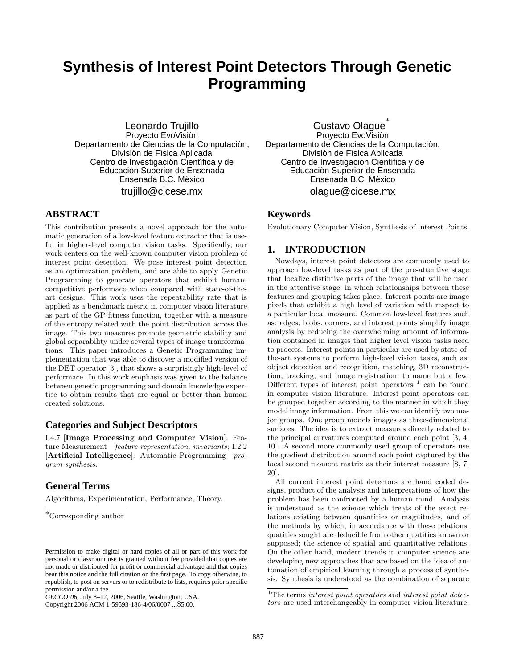## **Synthesis of Interest Point Detectors Through Genetic Programming**

Leonardo Trujillo Proyecto EvoVisión Departamento de Ciencias de la Computación, División de Física Aplicada Centro de Investigación Científica y de Educación Superior de Ensenada Ensenada B.C. México trujillo@cicese.mx

### **ABSTRACT**

This contribution presents a novel approach for the automatic generation of a low-level feature extractor that is useful in higher-level computer vision tasks. Specifically, our work centers on the well-known computer vision problem of interest point detection. We pose interest point detection as an optimization problem, and are able to apply Genetic Programming to generate operators that exhibit humancompetitive performace when compared with state-of-theart designs. This work uses the repeatability rate that is applied as a benchmark metric in computer vision literature as part of the GP fitness function, together with a measure of the entropy related with the point distribution across the image. This two measures promote geometric stability and global separability under several types of image transformations. This paper introduces a Genetic Programming implementation that was able to discover a modified version of the DET operator [3], that shows a surprisingly high-level of performace. In this work emphasis was given to the balance between genetic programming and domain knowledge expertise to obtain results that are equal or better than human created solutions.

#### **Categories and Subject Descriptors**

I.4.7 [Image Processing and Computer Vision]: Feature Measurement—feature representation, invariants; I.2.2 [Artificial Intelligence]: Automatic Programming—program synthesis.

### **General Terms**

Algorithms, Experimentation, Performance, Theory.

Copyright 2006 ACM 1-59593-186-4/06/0007 ...\$5.00.

Gustavo Olague ∗ Proyecto EvoVisión Departamento de Ciencias de la Computación, División de Física Aplicada Centro de Investigación Científica y de Educación Superior de Ensenada Ensenada B.C. México olague@cicese.mx

#### **Keywords**

Evolutionary Computer Vision, Synthesis of Interest Points.

#### **1. INTRODUCTION**

Nowdays, interest point detectors are commonly used to approach low-level tasks as part of the pre-attentive stage that localize distintive parts of the image that will be used in the attentive stage, in which relationships between these features and grouping takes place. Interest points are image pixels that exhibit a high level of variation with respect to a particular local measure. Common low-level features such as: edges, blobs, corners, and interest points simplify image analysis by reducing the overwhelming amount of information contained in images that higher level vision tasks need to process. Interest points in particular are used by state-ofthe-art systems to perform high-level vision tasks, such as: object detection and recognition, matching, 3D reconstruction, tracking, and image registration, to name but a few. Different types of interest point operators  $1$  can be found in computer vision literature. Interest point operators can be grouped together according to the manner in which they model image information. From this we can identify two major groups. One group models images as three-dimensional surfaces. The idea is to extract measures directly related to the principal curvatures computed around each point [3, 4, 10]. A second more commonly used group of operators use the gradient distribution around each point captured by the local second moment matrix as their interest measure [8, 7, 20].

All current interest point detectors are hand coded designs, product of the analysis and interpretations of how the problem has been confronted by a human mind. Analysis is understood as the science which treats of the exact relations existing between quantities or magnitudes, and of the methods by which, in accordance with these relations, quatities sought are deducible from other quatities known or supposed; the science of spatial and quantitative relations. On the other hand, modern trends in computer science are developing new approaches that are based on the idea of automation of empirical learning through a process of synthesis. Synthesis is understood as the combination of separate

<sup>∗</sup>Corresponding author

Permission to make digital or hard copies of all or part of this work for personal or classroom use is granted without fee provided that copies are not made or distributed for profit or commercial advantage and that copies bear this notice and the full citation on the first page. To copy otherwise, to republish, to post on servers or to redistribute to lists, requires prior specific permission and/or a fee.

*GECCO'06,* July 8–12, 2006, Seattle, Washington, USA.

 $1$ <sup>1</sup>The terms *interest point operators* and *interest point detec*tors are used interchangeably in computer vision literature.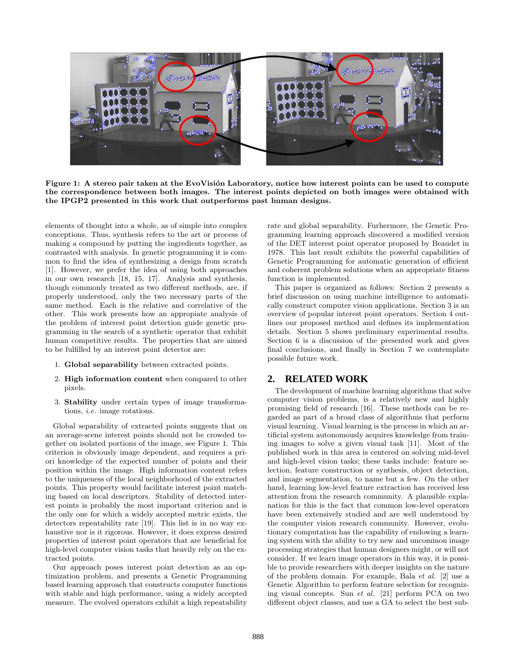

Figure 1: A stereo pair taken at the EvoVisión Laboratory, notice how interest points can be used to compute the correspondence between both images. The interest points depicted on both images were obtained with the IPGP2 presented in this work that outperforms past human designs.

elements of thought into a whole, as of simple into complex conceptions. Thus, synthesis refers to the art or process of making a compound by putting the ingredients together, as contrasted with analysis. In genetic programming it is common to find the idea of synthesizing a design from scratch [1]. However, we prefer the idea of using both approaches in our own research [18, 15, 17]. Analysis and synthesis, though commonly treated as two different methods, are, if properly understood, only the two necessary parts of the same method. Each is the relative and correlative of the other. This work presents how an appropiate analysis of the problem of interest point detection guide genetic programming in the search of a synthetic operator that exhibit human competitive results. The properties that are aimed to be fulfilled by an interest point detector are:

- 1. Global separability between extracted points.
- 2. High information content when compared to other pixels.
- 3. Stability under certain types of image transformations, i.e. image rotations.

Global separability of extracted points suggests that on an average-scene interest points should not be crowded together on isolated portions of the image, see Figure 1. This criterion is obviously image dependent, and requires a priori knowledge of the expected number of points and their position within the image. High information content refers to the uniqueness of the local neighborhood of the extracted points. This property would facilitate interest point matching based on local descriptors. Stability of detected interest points is probably the most important criterion and is the only one for which a widely accepted metric exists, the detectors repeatability rate [19]. This list is in no way exhaustive nor is it rigorous. However, it does express desired properties of interest point operators that are beneficial for high-level computer vision tasks that heavily rely on the extracted points.

Our approach poses interest point detection as an optimization problem, and presents a Genetic Programming based learning approach that constructs computer functions with stable and high performance, using a widely accepted measure. The evolved operators exhibit a high repeatability

rate and global separability. Furhermore, the Genetic Programming learning approach discovered a modified version of the DET interest point operator proposed by Beaudet in 1978. This last result exhibits the powerful capabilities of Genetic Programming for automatic generation of efficient and coherent problem solutions when an appropriate fitness function is implemented.

This paper is organized as follows: Section 2 presents a brief discussion on using machine intelligence to automatically construct computer vision applications. Section 3 is an overview of popular interest point operators. Section 4 outlines our proposed method and defines its implementation details. Section 5 shows preliminary experimental results. Section 6 is a discussion of the presented work and gives final conclusions, and finally in Section 7 we contemplate possible future work.

### **2. RELATED WORK**

The development of machine learning algorithms that solve computer vision problems, is a relatively new and highly promising field of research [16]. These methods can be regarded as part of a broad class of algorithms that perform visual learning. Visual learning is the process in which an artificial system autonomously acquires knowledge from training images to solve a given visual task [11]. Most of the published work in this area is centered on solving mid-level and high-level vision tasks; these tasks include: feature selection, feature construction or synthesis, object detection, and image segmentation, to name but a few. On the other hand, learning low-level feature extraction has received less attention from the research community. A plausible explanation for this is the fact that common low-level operators have been extensively studied and are well understood by the computer vision research community. However, evolutionary computation has the capability of endowing a learning system with the ability to try new and uncommon image processing strategies that human designers might, or will not consider. If we learn image operators in this way, it is possible to provide researchers with deeper insights on the nature of the problem domain. For example, Bala et al. [2] use a Genetic Algorithm to perform feature selection for recognizing visual concepts. Sun et al. [21] perform PCA on two different object classes, and use a GA to select the best sub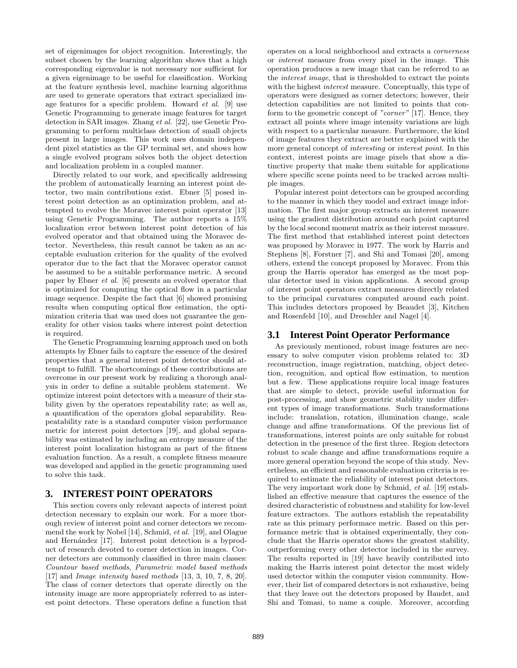set of eigenimages for object recognition. Interestingly, the subset chosen by the learning algorithm shows that a high corresponding eigenvalue is not necessary nor sufficient for a given eigenimage to be useful for classification. Working at the feature synthesis level, machine learning algorithms are used to generate operators that extract specialized image features for a specific problem. Howard et al. [9] use Genetic Programming to generate image features for target detection in SAR images. Zhang et al. [22], use Genetic Programming to perform multiclass detection of small objects present in large images. This work uses domain independent pixel statistics as the GP terminal set, and shows how a single evolved program solves both the object detection and localization problem in a coupled manner.

Directly related to our work, and specifically addressing the problem of automatically learning an interest point detector, two main contributions exist. Ebner [5] posed interest point detection as an optimization problem, and attempted to evolve the Moravec interest point operator [13] using Genetic Programming. The author reports a 15% localization error between interest point detection of his evolved operator and that obtained using the Moravec detector. Nevertheless, this result cannot be taken as an acceptable evaluation criterion for the quality of the evolved operator due to the fact that the Moravec operator cannot be assumed to be a suitable performance metric. A second paper by Ebner et al. [6] presents an evolved operator that is optimized for computing the optical flow in a particular image sequence. Despite the fact that [6] showed promising results when computing optical flow estimation, the optimization criteria that was used does not guarantee the generality for other vision tasks where interest point detection is required.

The Genetic Programming learning approach used on both attempts by Ebner fails to capture the essence of the desired properties that a general interest point detector should attempt to fulfill. The shortcomings of these contributions are overcome in our present work by realizing a thorough analysis in order to define a suitable problem statement. We optimize interest point detectors with a measure of their stability given by the operators repeatability rate; as well as, a quantification of the operators global separability. Reapeatability rate is a standard computer vision performance metric for interest point detectors [19], and global separability was estimated by including an entropy measure of the interest point localization histogram as part of the fitness evaluation function. As a result, a complete fitness measure was developed and applied in the genetic programming used to solve this task.

### **3. INTEREST POINT OPERATORS**

This section covers only relevant aspects of interest point detection necessary to explain our work. For a more thorough review of interest point and corner detectors we recommend the work by Nobel [14], Schmid, et al. [19], and Olague and Hernández [17]. Interest point detection is a byproduct of research devoted to corner detection in images. Corner detectors are commonly classified in three main classes: Countour based methods, Parametric model based methods [17] and Image intensity based methods [13, 3, 10, 7, 8, 20]. The class of corner detectors that operate directly on the intensity image are more appropriately referred to as interest point detectors. These operators define a function that operates on a local neighborhood and extracts a cornerness or interest measure from every pixel in the image. This operation produces a new image that can be referred to as the interest image, that is thresholded to extract the points with the highest *interest* measure. Conceptually, this type of operators were designed as corner detectors; however, their detection capabilities are not limited to points that conform to the geometric concept of "corner" [17]. Hence, they extract all points where image intensity variations are high with respect to a particular measure. Furthermore, the kind of image features they extract are better explained with the more general concept of *interesting* or *interest point*. In this context, interest points are image pixels that show a distinctive property that make them suitable for applications where specific scene points need to be tracked across multiple images.

Popular interest point detectors can be grouped according to the manner in which they model and extract image information. The first major group extracts an interest measure using the gradient distribution around each point captured by the local second moment matrix as their interest measure. The first method that established interest point detectors was proposed by Moravec in 1977. The work by Harris and Stephens [8], Forstner [7], and Shi and Tomasi [20], among others, extend the concept proposed by Moravec. From this group the Harris operator has emerged as the most popular detector used in vision applications. A second group of interest point operators extract measures directly related to the principal curvatures computed around each point. This includes detectors proposed by Beaudet [3], Kitchen and Rosenfeld [10], and Dreschler and Nagel [4].

### **3.1 Interest Point Operator Performance**

As previously mentioned, robust image features are necessary to solve computer vision problems related to: 3D reconstruction, image registration, matching, object detection, recognition, and optical flow estimation, to mention but a few. These applications require local image features that are simple to detect, provide useful information for post-processing, and show geometric stability under different types of image transformations. Such transformations include: translation, rotation, illumination change, scale change and affine transformations. Of the previous list of transformations, interest points are only suitable for robust detection in the presence of the first three. Region detectors robust to scale change and affine transformations require a more general operation beyond the scope of this study. Nevertheless, an efficient and reasonable evaluation criteria is required to estimate the reliability of interest point detectors. The very important work done by Schmid, et al. [19] established an effective measure that captures the essence of the desired characteristic of robustness and stability for low-level feature extractors. The authors establish the repeatability rate as this primary performace metric. Based on this performance metric that is obtained experimentally, they conclude that the Harris operator shows the greatest stability, outperforming every other detector included in the survey. The results reported in [19] have heavily contributed into making the Harris interest point detector the most widely used detector within the computer vision community. However, their list of compared detectors is not exhaustive, being that they leave out the detectors proposed by Baudet, and Shi and Tomasi, to name a couple. Moreover, according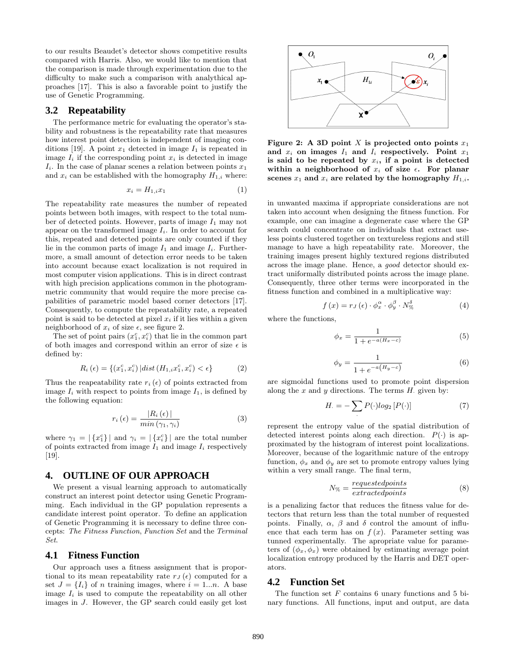to our results Beaudet's detector shows competitive results compared with Harris. Also, we would like to mention that the comparison is made through experimentation due to the difficulty to make such a comparison with analythical approaches [17]. This is also a favorable point to justify the use of Genetic Programming.

#### **3.2 Repeatability**

The performance metric for evaluating the operator's stability and robustness is the repeatability rate that measures how interest point detection is independent of imaging conditions [19]. A point  $x_1$  detected in image  $I_1$  is repeated in image  $I_i$  if the corresponding point  $x_i$  is detected in image  $I_i$ . In the case of planar scenes a relation between points  $x_1$ and  $x_i$  can be established with the homography  $H_{1,i}$  where:

$$
x_i = H_{1,i} x_1 \tag{1}
$$

The repeatability rate measures the number of repeated points between both images, with respect to the total number of detected points. However, parts of image  $I_1$  may not appear on the transformed image  $I_i$ . In order to account for this, repeated and detected points are only counted if they lie in the common parts of image  $I_1$  and image  $I_i$ . Furthermore, a small amount of detection error needs to be taken into account because exact localization is not required in most computer vision applications. This is in direct contrast with high precision applications common in the photogrammetric community that would require the more precise capabilities of parametric model based corner detectors [17]. Consequently, to compute the repeatability rate, a repeated point is said to be detected at pixel  $x_i$  if it lies within a given neighborhood of  $x_i$  of size  $\epsilon$ , see figure 2.

The set of point pairs  $(x_1^c, x_i^c)$  that lie in the common part of both images and correspond within an error of size  $\epsilon$  is defined by:

$$
R_i(\epsilon) = \{(x_1^c, x_i^c) | dist(H_{1,i}x_1^c, x_i^c) < \epsilon\}
$$
 (2)

Thus the reapeatability rate  $r_i(\epsilon)$  of points extracted from image  $I_i$  with respect to points from image  $I_1$ , is defined by the following equation:

$$
r_i\left(\epsilon\right) = \frac{|R_i\left(\epsilon\right)|}{\min\left(\gamma_1, \gamma_i\right)}\tag{3}
$$

where  $\gamma_1 = |\{x_1^c\}|$  and  $\gamma_i = |\{x_i^c\}|$  are the total number of points extracted from image  $I_1$  and image  $I_i$  respectively [19].

#### **4. OUTLINE OF OUR APPROACH**

We present a visual learning approach to automatically construct an interest point detector using Genetic Programming. Each individual in the GP population represents a candidate interest point operator. To define an application of Genetic Programming it is necessary to define three concepts: The Fitness Function, Function Set and the Terminal Set.

#### **4.1 Fitness Function**

Our approach uses a fitness assignment that is proportional to its mean repeatability rate  $r_J(\epsilon)$  computed for a set  $J = \{I_i\}$  of n training images, where  $i = 1...n$ . A base image  $I_i$  is used to compute the repeatability on all other images in J. However, the GP search could easily get lost



Figure 2: A 3D point X is projected onto points  $x_1$ and  $x_i$  on images  $I_1$  and  $I_i$  respectively. Point  $x_1$ is said to be repeated by  $x_i$ , if a point is detected within a neighborhood of  $x_i$  of size  $\epsilon$ . For planar scenes  $x_1$  and  $x_i$  are related by the homography  $H_{1,i}$ .

in unwanted maxima if appropriate considerations are not taken into account when designing the fitness function. For example, one can imagine a degenerate case where the GP search could concentrate on individuals that extract useless points clustered together on textureless regions and still manage to have a high repeatability rate. Moreover, the training images present highly textured regions distributed across the image plane. Hence, a good detector should extract uniformally distributed points across the image plane. Consequently, three other terms were incorporated in the fitness function and combined in a multiplicative way:

$$
f(x) = r_J(\epsilon) \cdot \phi_x^{\alpha} \cdot \phi_y^{\beta} \cdot N_{\%}^{\delta}
$$
 (4)

where the functions,

$$
\phi_x = \frac{1}{1 + e^{-a(H_x - c)}}\tag{5}
$$

$$
\phi_y = \frac{1}{1 + e^{-a(H_y - c)}}\tag{6}
$$

are sigmoidal functions used to promote point dispersion along the  $x$  and  $y$  directions. The terms  $H$  given by:

$$
H. = -\sum_{\cdot} P(\cdot) \log_2 [P(\cdot)] \tag{7}
$$

represent the entropy value of the spatial distribution of detected interest points along each direction.  $P(\cdot)$  is approximated by the histogram of interest point localizations. Moreover, because of the logarithmic nature of the entropy function,  $\phi_x$  and  $\phi_y$  are set to promote entropy values lying within a very small range. The final term,

$$
N_{\%} = \frac{requestedpoints}{extractedpoints} \tag{8}
$$

is a penalizing factor that reduces the fitness value for detectors that return less than the total number of requested points. Finally,  $\alpha$ ,  $\beta$  and  $\delta$  control the amount of influence that each term has on  $f(x)$ . Parameter setting was tunned experimentally. The apropriate value for parameters of  $(\phi_x, \phi_x)$  were obtained by estimating average point localization entropy produced by the Harris and DET operators.

#### **4.2 Function Set**

The function set  $F$  contains 6 unary functions and 5 binary functions. All functions, input and output, are data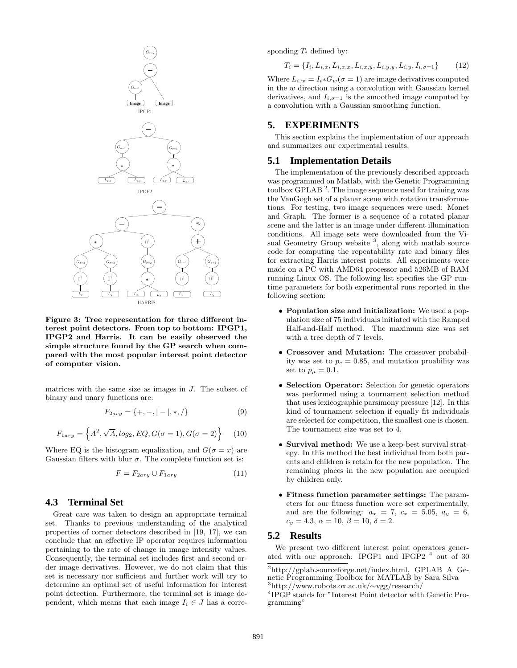

Figure 3: Tree representation for three different interest point detectors. From top to bottom: IPGP1, IPGP2 and Harris. It can be easily observed the simple structure found by the GP search when compared with the most popular interest point detector of computer vision.

matrices with the same size as images in  $J$ . The subset of binary and unary functions are:

$$
F_{2ary} = \{+, -, | - |, *, / \}
$$
 (9)

$$
F_{1ary} = \left\{ A^2, \sqrt{A}, \log_2, EQ, G(\sigma = 1), G(\sigma = 2) \right\} \tag{10}
$$

Where EQ is the histogram equalization, and  $G(\sigma = x)$  are Gaussian filters with blur  $\sigma$ . The complete function set is:

$$
F = F_{2ary} \cup F_{1ary} \tag{11}
$$

#### **4.3 Terminal Set**

Great care was taken to design an appropriate terminal set. Thanks to previous understanding of the analytical properties of corner detectors described in [19, 17], we can conclude that an effective IP operator requires information pertaining to the rate of change in image intensity values. Consequently, the terminal set includes first and second order image derivatives. However, we do not claim that this set is necessary nor sufficient and further work will try to determine an optimal set of useful information for interest point detection. Furthermore, the terminal set is image dependent, which means that each image  $I_i \in J$  has a corresponding  $T_i$  defined by:

$$
T_i = \{I_i, L_{i,x}, L_{i,x,x}, L_{i,x,y}, L_{i,y,y}, L_{i,y}, I_{i,\sigma=1}\}
$$
 (12)

Where  $L_{i,w} = I_i * G_w(\sigma = 1)$  are image derivatives computed in the  $w$  direction using a convolution with Gaussian kernel derivatives, and  $I_{i,\sigma=1}$  is the smoothed image computed by a convolution with a Gaussian smoothing function.

#### **5. EXPERIMENTS**

This section explains the implementation of our approach and summarizes our experimental results.

#### **5.1 Implementation Details**

The implementation of the previously described approach was programmed on Matlab, with the Genetic Programming toolbox GPLAB<sup>2</sup>. The image sequence used for training was the VanGogh set of a planar scene with rotation transformations. For testing, two image sequences were used: Monet and Graph. The former is a sequence of a rotated planar scene and the latter is an image under different illumination conditions. All image sets were downloaded from the Visual Geometry Group website<sup>3</sup>, along with matlab source code for computing the repeatability rate and binary files for extracting Harris interest points. All experiments were made on a PC with AMD64 processor and 526MB of RAM running Linux OS. The following list specifies the GP runtime parameters for both experimental runs reported in the following section:

- Population size and initialization: We used a population size of 75 individuals initiated with the Ramped Half-and-Half method. The maximum size was set with a tree depth of 7 levels.
- Crossover and Mutation: The crossover probability was set to  $p_c = 0.85$ , and mutation proability was set to  $p_{\mu} = 0.1$ .
- Selection Operator: Selection for genetic operators was performed using a tournament selection method that uses lexicographic parsimony pressure [12]. In this kind of tournament selection if equally fit individuals are selected for competition, the smallest one is chosen. The tournament size was set to 4.
- Survival method: We use a keep-best survival strategy. In this method the best individual from both parents and children is retain for the new population. The remaining places in the new population are occupied by children only.
- Fitness function parameter settings: The parameters for our fitness function were set experimentally, and are the following:  $a_x = 7$ ,  $c_x = 5.05$ ,  $a_y = 6$ ,  $c_y = 4.3, \ \alpha = 10, \ \beta = 10, \ \delta = 2.$

#### **5.2 Results**

We present two different interest point operators generated with our approach: IPGP1 and IPGP2  $<sup>4</sup>$  out of 30</sup>

<sup>3</sup>http://www.robots.ox.ac.uk/∼vgg/research/

<sup>2</sup>http://gplab.sourceforge.net/index.html, GPLAB A Genetic Programming Toolbox for MATLAB by Sara Silva

<sup>4</sup> IPGP stands for "Interest Point detector with Genetic Programming"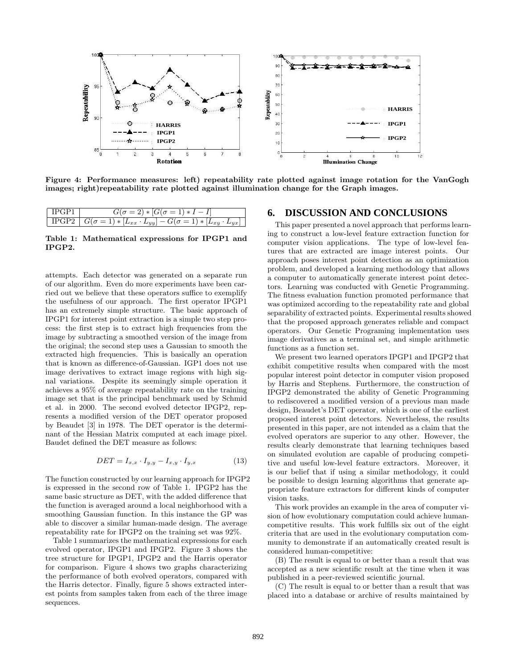

Figure 4: Performance measures: left) repeatability rate plotted against image rotation for the VanGogh images; right)repeatability rate plotted against illumination change for the Graph images.

| $\mathbb{L}$              | $= 2$ * $ G(\sigma = 1) * I - I $                                           |
|---------------------------|-----------------------------------------------------------------------------|
| $\perp$ IPGP <sub>2</sub> | $G(\sigma=1) * [L_{xx} \cdot L_{yy}] - G(\sigma=1) * [L_{xy} \cdot L_{yx}]$ |

Table 1: Mathematical expressions for IPGP1 and IPGP2.

attempts. Each detector was generated on a separate run of our algorithm. Even do more experiments have been carried out we believe that these operators suffice to exemplify the usefulness of our approach. The first operator IPGP1 has an extremely simple structure. The basic approach of IPGP1 for interest point extraction is a simple two step process: the first step is to extract high frequencies from the image by subtracting a smoothed version of the image from the original; the second step uses a Gaussian to smooth the extracted high frequencies. This is basically an operation that is known as difference-of-Gaussian. IGP1 does not use image derivatives to extract image regions with high signal variations. Despite its seemingly simple operation it achieves a 95% of average repeatability rate on the training image set that is the principal benchmark used by Schmid et al. in 2000. The second evolved detector IPGP2, represents a modified version of the DET operator proposed by Beaudet [3] in 1978. The DET operator is the determinant of the Hessian Matrix computed at each image pixel. Baudet defined the DET measure as follows:

$$
DET = I_{x,x} \cdot I_{y,y} - I_{x,y} \cdot I_{y,x} \tag{13}
$$

The function constructed by our learning approach for IPGP2 is expressed in the second row of Table 1. IPGP2 has the same basic structure as DET, with the added difference that the function is averaged around a local neighborhood with a smoothing Gaussian function. In this instance the GP was able to discover a similar human-made design. The average repeatability rate for IPGP2 on the training set was 92%.

Table 1 summarizes the mathematical expressions for each evolved operator, IPGP1 and IPGP2. Figure 3 shows the tree structure for IPGP1, IPGP2 and the Harris operator for comparison. Figure 4 shows two graphs characterizing the performance of both evolved operators, compared with the Harris detector. Finally, figure 5 shows extracted interest points from samples taken from each of the three image sequences.

#### **6. DISCUSSION AND CONCLUSIONS**

This paper presented a novel approach that performs learning to construct a low-level feature extraction function for computer vision applications. The type of low-level features that are extracted are image interest points. Our approach poses interest point detection as an optimization problem, and developed a learning methodology that allows a computer to automatically generate interest point detectors. Learning was conducted with Genetic Programming. The fitness evaluation function promoted performance that was optimized according to the repeatability rate and global separability of extracted points. Experimental results showed that the proposed approach generates reliable and compact operators. Our Genetic Programing implementation uses image derivatives as a terminal set, and simple arithmetic functions as a function set.

We present two learned operators IPGP1 and IPGP2 that exhibit competitive results when compared with the most popular interest point detector in computer vision proposed by Harris and Stephens. Furthermore, the construction of IPGP2 demonstrated the ability of Genetic Programming to rediscovered a modified version of a previous man made design, Beaudet's DET operator, which is one of the earliest proposed interest point detectors. Nevertheless, the results presented in this paper, are not intended as a claim that the evolved operators are superior to any other. However, the results clearly demonstrate that learning techniques based on simulated evolution are capable of producing competitive and useful low-level feature extractors. Moreover, it is our belief that if using a similar methodology, it could be possible to design learning algorithms that generate appropriate feature extractors for different kinds of computer vision tasks.

This work provides an example in the area of computer vision of how evolutionary computation could achieve humancompetitive results. This work fulfills six out of the eight criteria that are used in the evolutionary computation community to demonstrate if an automatically created result is considered human-competitive:

(B) The result is equal to or better than a result that was accepted as a new scientific result at the time when it was published in a peer-reviewed scientific journal.

(C) The result is equal to or better than a result that was placed into a database or archive of results maintained by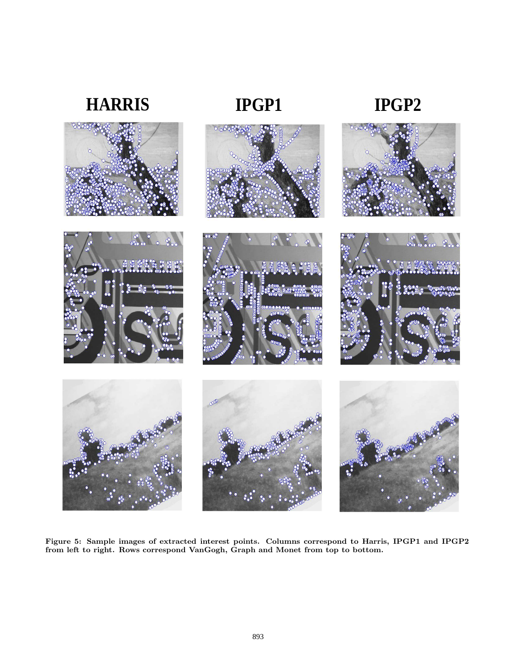# **HARRIS IPGP1 IPGP2**









Figure 5: Sample images of extracted interest points. Columns correspond to Harris, IPGP1 and IPGP2 from left to right. Rows correspond VanGogh, Graph and Monet from top to bottom.